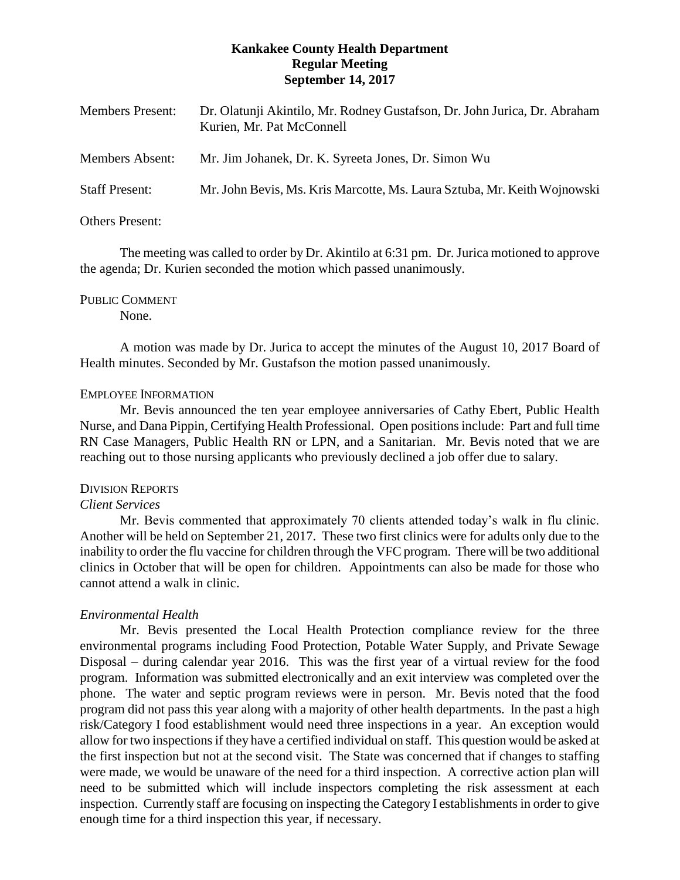## **Kankakee County Health Department Regular Meeting September 14, 2017**

| <b>Members Present:</b> | Dr. Olatunji Akintilo, Mr. Rodney Gustafson, Dr. John Jurica, Dr. Abraham<br>Kurien, Mr. Pat McConnell |
|-------------------------|--------------------------------------------------------------------------------------------------------|
| Members Absent:         | Mr. Jim Johanek, Dr. K. Syreeta Jones, Dr. Simon Wu                                                    |
| <b>Staff Present:</b>   | Mr. John Bevis, Ms. Kris Marcotte, Ms. Laura Sztuba, Mr. Keith Wojnowski                               |

# Others Present:

The meeting was called to order by Dr. Akintilo at 6:31 pm. Dr.Jurica motioned to approve the agenda; Dr. Kurien seconded the motion which passed unanimously.

# PUBLIC COMMENT

None.

A motion was made by Dr. Jurica to accept the minutes of the August 10, 2017 Board of Health minutes. Seconded by Mr. Gustafson the motion passed unanimously.

### EMPLOYEE INFORMATION

Mr. Bevis announced the ten year employee anniversaries of Cathy Ebert, Public Health Nurse, and Dana Pippin, Certifying Health Professional. Open positions include: Part and full time RN Case Managers, Public Health RN or LPN, and a Sanitarian. Mr. Bevis noted that we are reaching out to those nursing applicants who previously declined a job offer due to salary.

#### DIVISION REPORTS

## *Client Services*

Mr. Bevis commented that approximately 70 clients attended today's walk in flu clinic. Another will be held on September 21, 2017. These two first clinics were for adults only due to the inability to order the flu vaccine for children through the VFC program. There will be two additional clinics in October that will be open for children. Appointments can also be made for those who cannot attend a walk in clinic.

## *Environmental Health*

Mr. Bevis presented the Local Health Protection compliance review for the three environmental programs including Food Protection, Potable Water Supply, and Private Sewage Disposal – during calendar year 2016. This was the first year of a virtual review for the food program. Information was submitted electronically and an exit interview was completed over the phone. The water and septic program reviews were in person. Mr. Bevis noted that the food program did not pass this year along with a majority of other health departments. In the past a high risk/Category I food establishment would need three inspections in a year. An exception would allow for two inspections if they have a certified individual on staff. This question would be asked at the first inspection but not at the second visit. The State was concerned that if changes to staffing were made, we would be unaware of the need for a third inspection. A corrective action plan will need to be submitted which will include inspectors completing the risk assessment at each inspection. Currently staff are focusing on inspecting the Category I establishments in order to give enough time for a third inspection this year, if necessary.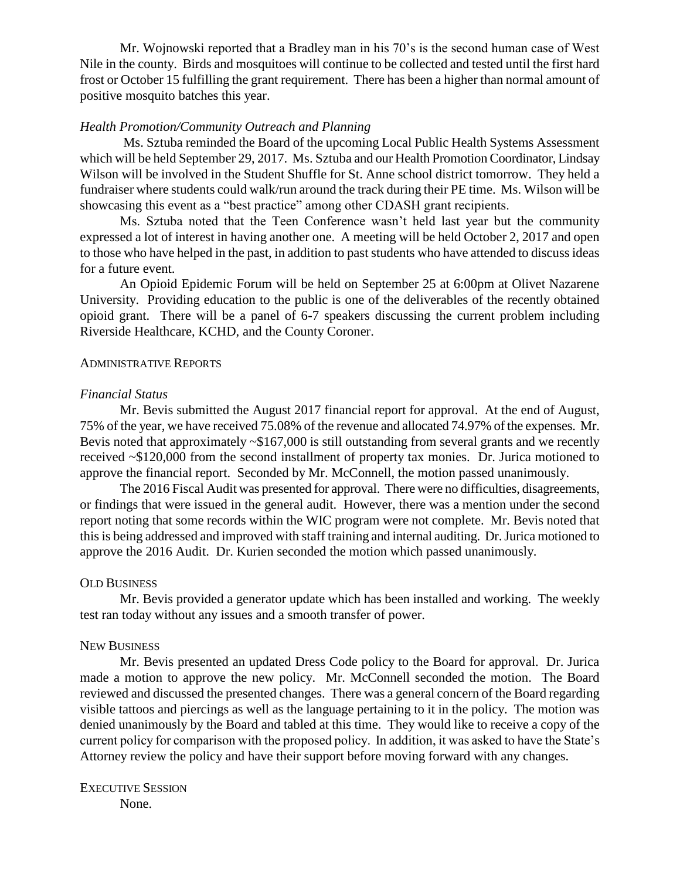Mr. Wojnowski reported that a Bradley man in his 70's is the second human case of West Nile in the county. Birds and mosquitoes will continue to be collected and tested until the first hard frost or October 15 fulfilling the grant requirement. There has been a higher than normal amount of positive mosquito batches this year.

#### *Health Promotion/Community Outreach and Planning*

Ms. Sztuba reminded the Board of the upcoming Local Public Health Systems Assessment which will be held September 29, 2017. Ms. Sztuba and our Health Promotion Coordinator, Lindsay Wilson will be involved in the Student Shuffle for St. Anne school district tomorrow. They held a fundraiser where students could walk/run around the track during their PE time. Ms. Wilson will be showcasing this event as a "best practice" among other CDASH grant recipients.

Ms. Sztuba noted that the Teen Conference wasn't held last year but the community expressed a lot of interest in having another one. A meeting will be held October 2, 2017 and open to those who have helped in the past, in addition to past students who have attended to discuss ideas for a future event.

An Opioid Epidemic Forum will be held on September 25 at 6:00pm at Olivet Nazarene University. Providing education to the public is one of the deliverables of the recently obtained opioid grant. There will be a panel of 6-7 speakers discussing the current problem including Riverside Healthcare, KCHD, and the County Coroner.

#### ADMINISTRATIVE REPORTS

#### *Financial Status*

Mr. Bevis submitted the August 2017 financial report for approval. At the end of August, 75% of the year, we have received 75.08% of the revenue and allocated 74.97% of the expenses. Mr. Bevis noted that approximately  $\sim $167,000$  is still outstanding from several grants and we recently received ~\$120,000 from the second installment of property tax monies. Dr. Jurica motioned to approve the financial report. Seconded by Mr. McConnell, the motion passed unanimously.

The 2016 Fiscal Audit was presented for approval. There were no difficulties, disagreements, or findings that were issued in the general audit. However, there was a mention under the second report noting that some records within the WIC program were not complete. Mr. Bevis noted that this is being addressed and improved with staff training and internal auditing. Dr. Jurica motioned to approve the 2016 Audit. Dr. Kurien seconded the motion which passed unanimously.

#### OLD BUSINESS

Mr. Bevis provided a generator update which has been installed and working. The weekly test ran today without any issues and a smooth transfer of power.

## NEW BUSINESS

Mr. Bevis presented an updated Dress Code policy to the Board for approval. Dr. Jurica made a motion to approve the new policy. Mr. McConnell seconded the motion. The Board reviewed and discussed the presented changes. There was a general concern of the Board regarding visible tattoos and piercings as well as the language pertaining to it in the policy. The motion was denied unanimously by the Board and tabled at this time. They would like to receive a copy of the current policy for comparison with the proposed policy. In addition, it was asked to have the State's Attorney review the policy and have their support before moving forward with any changes.

EXECUTIVE SESSION None.